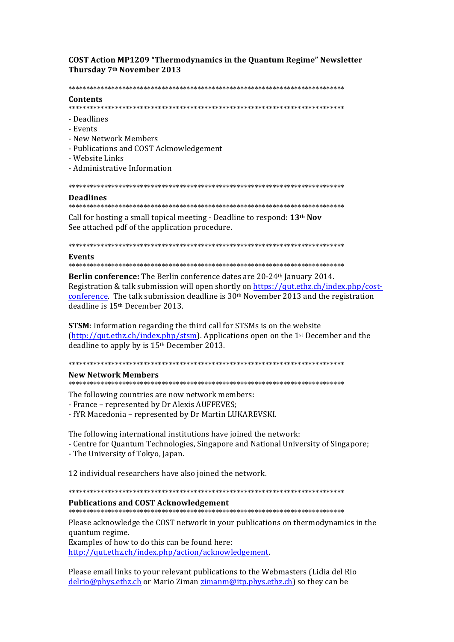# **COST Action MP1209 "Thermodynamics in the Quantum Regime" Newsletter** Thursday 7th November 2013

#### 

### Contents

- Deadlines
- Events
- New Network Members
- Publications and COST Acknowledgement
- Website Links
- Administrative Information

# **Deadlines**

### 

Call for hosting a small topical meeting - Deadline to respond: 13<sup>th</sup> Nov See attached pdf of the application procedure.

#### **Events**

Berlin conference: The Berlin conference dates are 20-24<sup>th</sup> January 2014. Registration & talk submission will open shortly on https://qut.ethz.ch/index.php/costconference. The talk submission deadline is 30<sup>th</sup> November 2013 and the registration deadline is 15<sup>th</sup> December 2013.

**STSM**: Information regarding the third call for STSMs is on the website (http://qut.ethz.ch/index.php/stsm). Applications open on the 1<sup>st</sup> December and the deadline to apply by is 15<sup>th</sup> December 2013.

### **New Network Members**

The following countries are now network members:

- France represented by Dr Alexis AUFFEVES;
- fYR Macedonia represented by Dr Martin LUKAREVSKI.

The following international institutions have joined the network:

- Centre for Quantum Technologies, Singapore and National University of Singapore;
- The University of Tokyo, Japan.

12 individual researchers have also joined the network.

### 

# **Publications and COST Acknowledgement**

Please acknowledge the COST network in your publications on thermodynamics in the quantum regime.

Examples of how to do this can be found here:

http://qut.ethz.ch/index.php/action/acknowledgement.

Please email links to your relevant publications to the Webmasters (Lidia del Rio delrio@phys.ethz.ch or Mario Ziman zimanm@itp.phys.ethz.ch) so they can be